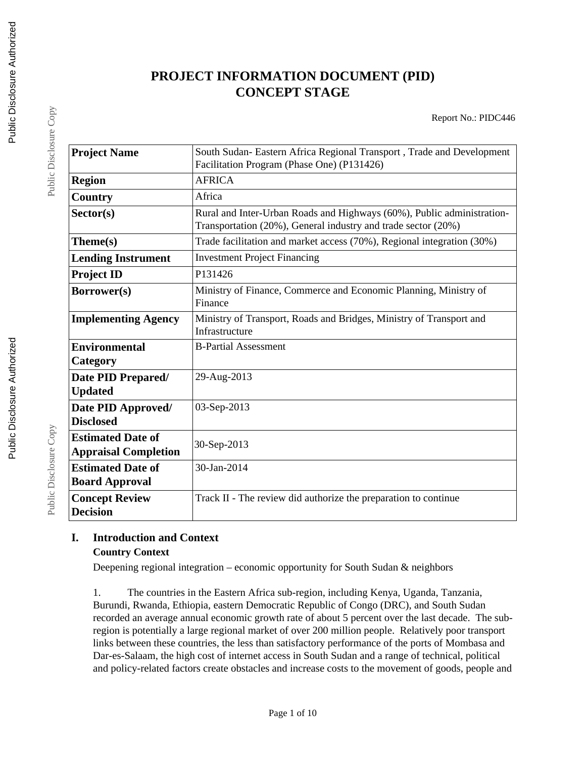# **PROJECT INFORMATION DOCUMENT (PID) CONCEPT STAGE**

Report No.: PIDC446

| <b>Project Name</b>                                     | South Sudan- Eastern Africa Regional Transport, Trade and Development<br>Facilitation Program (Phase One) (P131426)                     |
|---------------------------------------------------------|-----------------------------------------------------------------------------------------------------------------------------------------|
|                                                         |                                                                                                                                         |
| <b>Region</b>                                           | <b>AFRICA</b>                                                                                                                           |
| Country                                                 | Africa                                                                                                                                  |
| Sector(s)                                               | Rural and Inter-Urban Roads and Highways (60%), Public administration-<br>Transportation (20%), General industry and trade sector (20%) |
| Theme(s)                                                | Trade facilitation and market access (70%), Regional integration (30%)                                                                  |
| <b>Lending Instrument</b>                               | <b>Investment Project Financing</b>                                                                                                     |
| <b>Project ID</b>                                       | P131426                                                                                                                                 |
| Borrower(s)                                             | Ministry of Finance, Commerce and Economic Planning, Ministry of<br>Finance                                                             |
| <b>Implementing Agency</b>                              | Ministry of Transport, Roads and Bridges, Ministry of Transport and<br>Infrastructure                                                   |
| <b>Environmental</b><br>Category                        | <b>B-Partial Assessment</b>                                                                                                             |
| Date PID Prepared/<br><b>Updated</b>                    | 29-Aug-2013                                                                                                                             |
| Date PID Approved/<br><b>Disclosed</b>                  | 03-Sep-2013                                                                                                                             |
| <b>Estimated Date of</b><br><b>Appraisal Completion</b> | 30-Sep-2013                                                                                                                             |
| <b>Estimated Date of</b><br><b>Board Approval</b>       | 30-Jan-2014                                                                                                                             |
| <b>Concept Review</b><br><b>Decision</b>                | Track II - The review did authorize the preparation to continue                                                                         |

## **I. Introduction and Context Country Context**

Deepening regional integration – economic opportunity for South Sudan & neighbors

1. The countries in the Eastern Africa sub-region, including Kenya, Uganda, Tanzania, Burundi, Rwanda, Ethiopia, eastern Democratic Republic of Congo (DRC), and South Sudan recorded an average annual economic growth rate of about 5 percent over the last decade. The subregion is potentially a large regional market of over 200 million people. Relatively poor transport links between these countries, the less than satisfactory performance of the ports of Mombasa and Dar-es-Salaam, the high cost of internet access in South Sudan and a range of technical, political and policy-related factors create obstacles and increase costs to the movement of goods, people and

Public Disclosure Copy

Public Disclosure Copy

Public Disclosure Copy

Public Disclosure Copy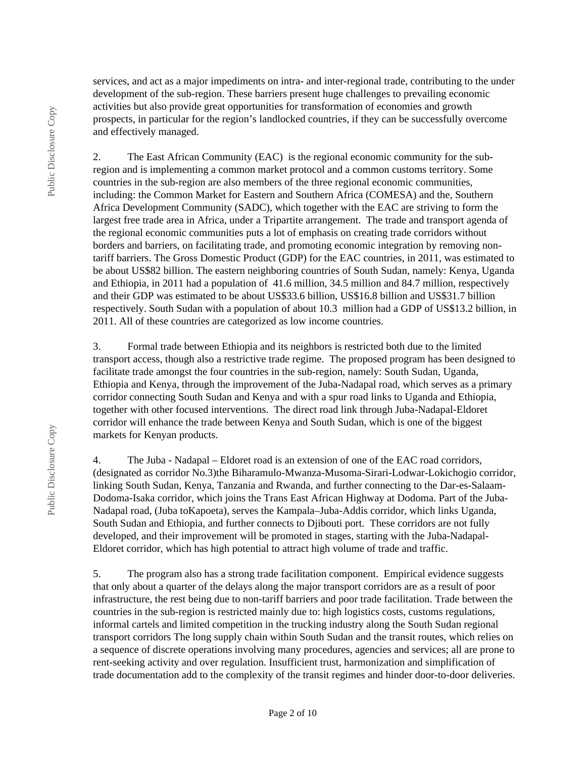Public Disclosure Copy Public Disclosure Copy services, and act as a major impediments on intra- and inter-regional trade, contributing to the under development of the sub-region. These barriers present huge challenges to prevailing economic activities but also provide great opportunities for transformation of economies and growth prospects, in particular for the region's landlocked countries, if they can be successfully overcome and effectively managed.

2. The East African Community (EAC) is the regional economic community for the subregion and is implementing a common market protocol and a common customs territory. Some countries in the sub-region are also members of the three regional economic communities, including: the Common Market for Eastern and Southern Africa (COMESA) and the, Southern Africa Development Community (SADC), which together with the EAC are striving to form the largest free trade area in Africa, under a Tripartite arrangement. The trade and transport agenda of the regional economic communities puts a lot of emphasis on creating trade corridors without borders and barriers, on facilitating trade, and promoting economic integration by removing nontariff barriers. The Gross Domestic Product (GDP) for the EAC countries, in 2011, was estimated to be about US\$82 billion. The eastern neighboring countries of South Sudan, namely: Kenya, Uganda and Ethiopia, in 2011 had a population of 41.6 million, 34.5 million and 84.7 million, respectively and their GDP was estimated to be about US\$33.6 billion, US\$16.8 billion and US\$31.7 billion respectively. South Sudan with a population of about 10.3 million had a GDP of US\$13.2 billion, in 2011. All of these countries are categorized as low income countries.

3. Formal trade between Ethiopia and its neighbors is restricted both due to the limited transport access, though also a restrictive trade regime. The proposed program has been designed to facilitate trade amongst the four countries in the sub-region, namely: South Sudan, Uganda, Ethiopia and Kenya, through the improvement of the Juba-Nadapal road, which serves as a primary corridor connecting South Sudan and Kenya and with a spur road links to Uganda and Ethiopia, together with other focused interventions. The direct road link through Juba-Nadapal-Eldoret corridor will enhance the trade between Kenya and South Sudan, which is one of the biggest markets for Kenyan products.

4. The Juba - Nadapal – Eldoret road is an extension of one of the EAC road corridors, (designated as corridor No.3)the Biharamulo-Mwanza-Musoma-Sirari-Lodwar-Lokichogio corridor, linking South Sudan, Kenya, Tanzania and Rwanda, and further connecting to the Dar-es-Salaam-Dodoma-Isaka corridor, which joins the Trans East African Highway at Dodoma. Part of the Juba-Nadapal road, (Juba toKapoeta), serves the Kampala–Juba-Addis corridor, which links Uganda, South Sudan and Ethiopia, and further connects to Djibouti port. These corridors are not fully developed, and their improvement will be promoted in stages, starting with the Juba-Nadapal-Eldoret corridor, which has high potential to attract high volume of trade and traffic.

5. The program also has a strong trade facilitation component. Empirical evidence suggests that only about a quarter of the delays along the major transport corridors are as a result of poor infrastructure, the rest being due to non-tariff barriers and poor trade facilitation. Trade between the countries in the sub-region is restricted mainly due to: high logistics costs, customs regulations, informal cartels and limited competition in the trucking industry along the South Sudan regional transport corridors The long supply chain within South Sudan and the transit routes, which relies on a sequence of discrete operations involving many procedures, agencies and services; all are prone to rent-seeking activity and over regulation. Insufficient trust, harmonization and simplification of trade documentation add to the complexity of the transit regimes and hinder door-to-door deliveries.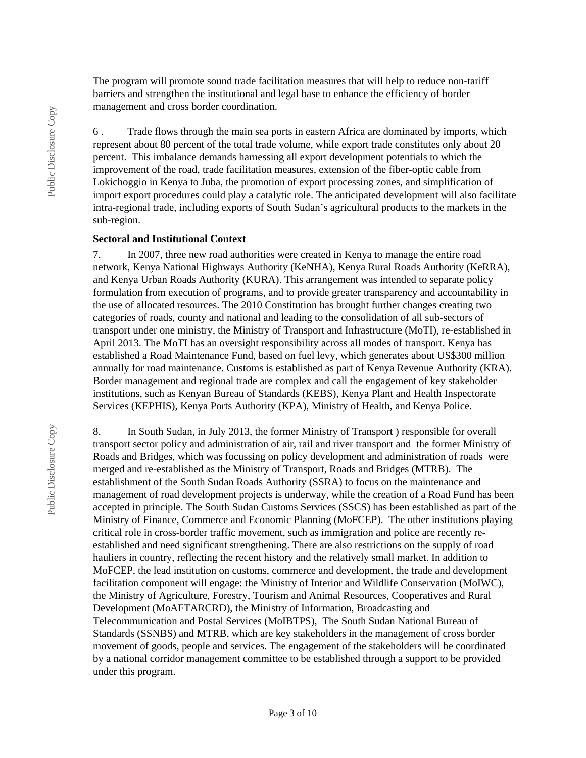The program will promote sound trade facilitation measures that will help to reduce non-tariff barriers and strengthen the institutional and legal base to enhance the efficiency of border management and cross border coordination.

6 . Trade flows through the main sea ports in eastern Africa are dominated by imports, which represent about 80 percent of the total trade volume, while export trade constitutes only about 20 percent. This imbalance demands harnessing all export development potentials to which the improvement of the road, trade facilitation measures, extension of the fiber-optic cable from Lokichoggio in Kenya to Juba, the promotion of export processing zones, and simplification of import export procedures could play a catalytic role. The anticipated development will also facilitate intra-regional trade, including exports of South Sudan's agricultural products to the markets in the sub-region.

#### **Sectoral and Institutional Context**

7. In 2007, three new road authorities were created in Kenya to manage the entire road network, Kenya National Highways Authority (KeNHA), Kenya Rural Roads Authority (KeRRA), and Kenya Urban Roads Authority (KURA). This arrangement was intended to separate policy formulation from execution of programs, and to provide greater transparency and accountability in the use of allocated resources. The 2010 Constitution has brought further changes creating two categories of roads, county and national and leading to the consolidation of all sub-sectors of transport under one ministry, the Ministry of Transport and Infrastructure (MoTI), re-established in April 2013. The MoTI has an oversight responsibility across all modes of transport. Kenya has established a Road Maintenance Fund, based on fuel levy, which generates about US\$300 million annually for road maintenance. Customs is established as part of Kenya Revenue Authority (KRA). Border management and regional trade are complex and call the engagement of key stakeholder institutions, such as Kenyan Bureau of Standards (KEBS), Kenya Plant and Health Inspectorate Services (KEPHIS), Kenya Ports Authority (KPA), Ministry of Health, and Kenya Police.

8. In South Sudan, in July 2013, the former Ministry of Transport ) responsible for overall transport sector policy and administration of air, rail and river transport and the former Ministry of Roads and Bridges, which was focussing on policy development and administration of roads were merged and re-established as the Ministry of Transport, Roads and Bridges (MTRB). The establishment of the South Sudan Roads Authority (SSRA) to focus on the maintenance and management of road development projects is underway, while the creation of a Road Fund has been accepted in principle. The South Sudan Customs Services (SSCS) has been established as part of the Ministry of Finance, Commerce and Economic Planning (MoFCEP). The other institutions playing critical role in cross-border traffic movement, such as immigration and police are recently reestablished and need significant strengthening. There are also restrictions on the supply of road hauliers in country, reflecting the recent history and the relatively small market. In addition to MoFCEP, the lead institution on customs, commerce and development, the trade and development facilitation component will engage: the Ministry of Interior and Wildlife Conservation (MoIWC), the Ministry of Agriculture, Forestry, Tourism and Animal Resources, Cooperatives and Rural Development (MoAFTARCRD), the Ministry of Information, Broadcasting and Telecommunication and Postal Services (MoIBTPS), The South Sudan National Bureau of Standards (SSNBS) and MTRB, which are key stakeholders in the management of cross border movement of goods, people and services. The engagement of the stakeholders will be coordinated by a national corridor management committee to be established through a support to be provided under this program.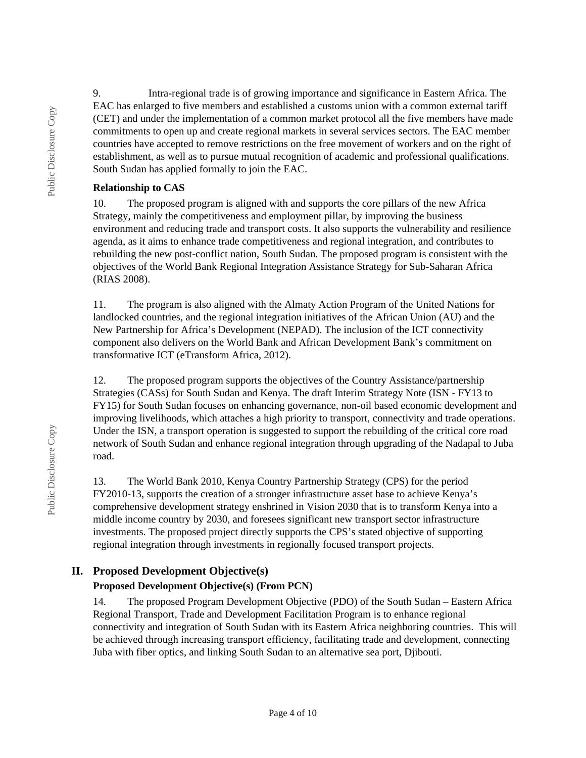9. Intra-regional trade is of growing importance and significance in Eastern Africa. The EAC has enlarged to five members and established a customs union with a common external tariff (CET) and under the implementation of a common market protocol all the five members have made commitments to open up and create regional markets in several services sectors. The EAC member countries have accepted to remove restrictions on the free movement of workers and on the right of establishment, as well as to pursue mutual recognition of academic and professional qualifications. South Sudan has applied formally to join the EAC.

### **Relationship to CAS**

10. The proposed program is aligned with and supports the core pillars of the new Africa Strategy, mainly the competitiveness and employment pillar, by improving the business environment and reducing trade and transport costs. It also supports the vulnerability and resilience agenda, as it aims to enhance trade competitiveness and regional integration, and contributes to rebuilding the new post-conflict nation, South Sudan. The proposed program is consistent with the objectives of the World Bank Regional Integration Assistance Strategy for Sub-Saharan Africa (RIAS 2008).

11. The program is also aligned with the Almaty Action Program of the United Nations for landlocked countries, and the regional integration initiatives of the African Union (AU) and the New Partnership for Africa's Development (NEPAD). The inclusion of the ICT connectivity component also delivers on the World Bank and African Development Bank's commitment on transformative ICT (eTransform Africa, 2012).

12. The proposed program supports the objectives of the Country Assistance/partnership Strategies (CASs) for South Sudan and Kenya. The draft Interim Strategy Note (ISN - FY13 to FY15) for South Sudan focuses on enhancing governance, non-oil based economic development and improving livelihoods, which attaches a high priority to transport, connectivity and trade operations. Under the ISN, a transport operation is suggested to support the rebuilding of the critical core road network of South Sudan and enhance regional integration through upgrading of the Nadapal to Juba road.

13. The World Bank 2010, Kenya Country Partnership Strategy (CPS) for the period FY2010-13, supports the creation of a stronger infrastructure asset base to achieve Kenya's comprehensive development strategy enshrined in Vision 2030 that is to transform Kenya into a middle income country by 2030, and foresees significant new transport sector infrastructure investments. The proposed project directly supports the CPS's stated objective of supporting regional integration through investments in regionally focused transport projects.

## **II. Proposed Development Objective(s)**

## **Proposed Development Objective(s) (From PCN)**

14. The proposed Program Development Objective (PDO) of the South Sudan – Eastern Africa Regional Transport, Trade and Development Facilitation Program is to enhance regional connectivity and integration of South Sudan with its Eastern Africa neighboring countries. This will be achieved through increasing transport efficiency, facilitating trade and development, connecting Juba with fiber optics, and linking South Sudan to an alternative sea port, Djibouti.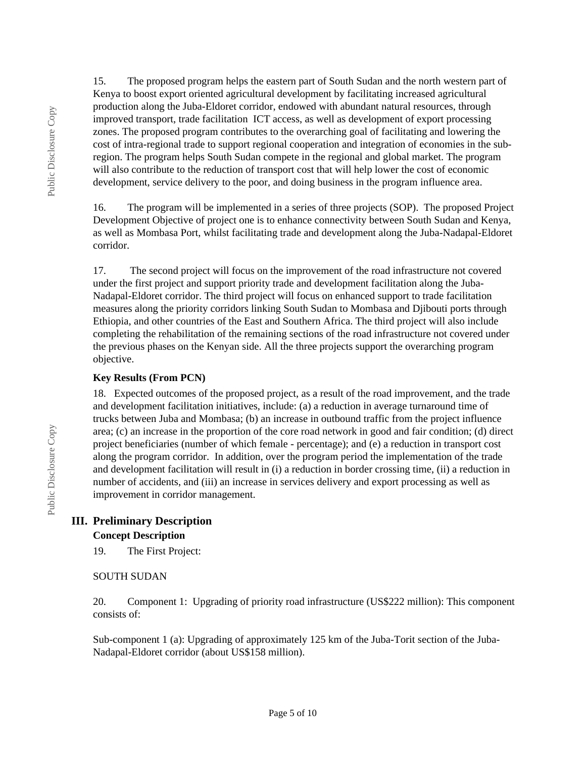15. The proposed program helps the eastern part of South Sudan and the north western part of Kenya to boost export oriented agricultural development by facilitating increased agricultural production along the Juba-Eldoret corridor, endowed with abundant natural resources, through improved transport, trade facilitation ICT access, as well as development of export processing zones. The proposed program contributes to the overarching goal of facilitating and lowering the cost of intra-regional trade to support regional cooperation and integration of economies in the subregion. The program helps South Sudan compete in the regional and global market. The program will also contribute to the reduction of transport cost that will help lower the cost of economic development, service delivery to the poor, and doing business in the program influence area.

16. The program will be implemented in a series of three projects (SOP). The proposed Project Development Objective of project one is to enhance connectivity between South Sudan and Kenya, as well as Mombasa Port, whilst facilitating trade and development along the Juba-Nadapal-Eldoret corridor.

17. The second project will focus on the improvement of the road infrastructure not covered under the first project and support priority trade and development facilitation along the Juba-Nadapal-Eldoret corridor. The third project will focus on enhanced support to trade facilitation measures along the priority corridors linking South Sudan to Mombasa and Djibouti ports through Ethiopia, and other countries of the East and Southern Africa. The third project will also include completing the rehabilitation of the remaining sections of the road infrastructure not covered under the previous phases on the Kenyan side. All the three projects support the overarching program objective.

#### **Key Results (From PCN)**

18. Expected outcomes of the proposed project, as a result of the road improvement, and the trade and development facilitation initiatives, include: (a) a reduction in average turnaround time of trucks between Juba and Mombasa; (b) an increase in outbound traffic from the project influence area; (c) an increase in the proportion of the core road network in good and fair condition; (d) direct project beneficiaries (number of which female - percentage); and (e) a reduction in transport cost along the program corridor. In addition, over the program period the implementation of the trade and development facilitation will result in (i) a reduction in border crossing time, (ii) a reduction in number of accidents, and (iii) an increase in services delivery and export processing as well as improvement in corridor management.

# **III. Preliminary Description**

#### **Concept Description**

19. The First Project:

### SOUTH SUDAN

20. Component 1: Upgrading of priority road infrastructure (US\$222 million): This component consists of:

Sub-component 1 (a): Upgrading of approximately 125 km of the Juba-Torit section of the Juba-Nadapal-Eldoret corridor (about US\$158 million).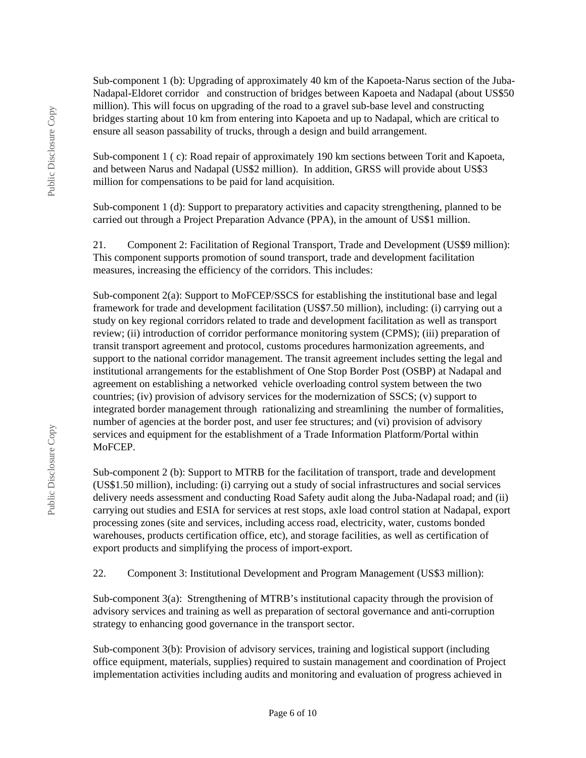Sub-component 1 (b): Upgrading of approximately 40 km of the Kapoeta-Narus section of the Juba-Nadapal-Eldoret corridor and construction of bridges between Kapoeta and Nadapal (about US\$50 million). This will focus on upgrading of the road to a gravel sub-base level and constructing bridges starting about 10 km from entering into Kapoeta and up to Nadapal, which are critical to ensure all season passability of trucks, through a design and build arrangement.

Sub-component 1 ( c): Road repair of approximately 190 km sections between Torit and Kapoeta, and between Narus and Nadapal (US\$2 million). In addition, GRSS will provide about US\$3 million for compensations to be paid for land acquisition.

Sub-component 1 (d): Support to preparatory activities and capacity strengthening, planned to be carried out through a Project Preparation Advance (PPA), in the amount of US\$1 million.

21. Component 2: Facilitation of Regional Transport, Trade and Development (US\$9 million): This component supports promotion of sound transport, trade and development facilitation measures, increasing the efficiency of the corridors. This includes:

Sub-component 2(a): Support to MoFCEP/SSCS for establishing the institutional base and legal framework for trade and development facilitation (US\$7.50 million), including: (i) carrying out a study on key regional corridors related to trade and development facilitation as well as transport review; (ii) introduction of corridor performance monitoring system (CPMS); (iii) preparation of transit transport agreement and protocol, customs procedures harmonization agreements, and support to the national corridor management. The transit agreement includes setting the legal and institutional arrangements for the establishment of One Stop Border Post (OSBP) at Nadapal and agreement on establishing a networked vehicle overloading control system between the two countries; (iv) provision of advisory services for the modernization of SSCS; (v) support to integrated border management through rationalizing and streamlining the number of formalities, number of agencies at the border post, and user fee structures; and (vi) provision of advisory services and equipment for the establishment of a Trade Information Platform/Portal within MoFCEP.

Sub-component 2 (b): Support to MTRB for the facilitation of transport, trade and development (US\$1.50 million), including: (i) carrying out a study of social infrastructures and social services delivery needs assessment and conducting Road Safety audit along the Juba-Nadapal road; and (ii) carrying out studies and ESIA for services at rest stops, axle load control station at Nadapal, export processing zones (site and services, including access road, electricity, water, customs bonded warehouses, products certification office, etc), and storage facilities, as well as certification of export products and simplifying the process of import-export.

22. Component 3: Institutional Development and Program Management (US\$3 million):

Sub-component 3(a): Strengthening of MTRB's institutional capacity through the provision of advisory services and training as well as preparation of sectoral governance and anti-corruption strategy to enhancing good governance in the transport sector.

Sub-component 3(b): Provision of advisory services, training and logistical support (including office equipment, materials, supplies) required to sustain management and coordination of Project implementation activities including audits and monitoring and evaluation of progress achieved in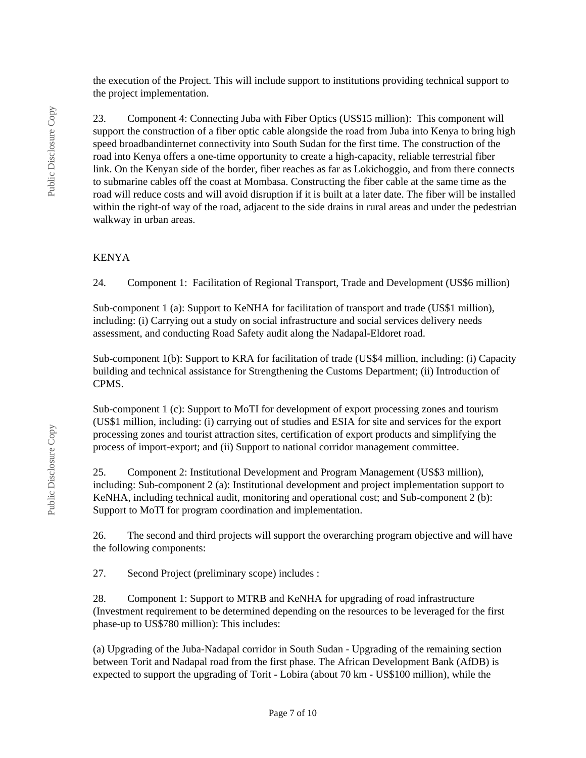the execution of the Project. This will include support to institutions providing technical support to the project implementation.

23. Component 4: Connecting Juba with Fiber Optics (US\$15 million): This component will support the construction of a fiber optic cable alongside the road from Juba into Kenya to bring high speed broadbandinternet connectivity into South Sudan for the first time. The construction of the road into Kenya offers a one-time opportunity to create a high-capacity, reliable terrestrial fiber link. On the Kenyan side of the border, fiber reaches as far as Lokichoggio, and from there connects to submarine cables off the coast at Mombasa. Constructing the fiber cable at the same time as the road will reduce costs and will avoid disruption if it is built at a later date. The fiber will be installed within the right-of way of the road, adjacent to the side drains in rural areas and under the pedestrian walkway in urban areas.

#### KENYA

24. Component 1: Facilitation of Regional Transport, Trade and Development (US\$6 million)

Sub-component 1 (a): Support to KeNHA for facilitation of transport and trade (US\$1 million), including: (i) Carrying out a study on social infrastructure and social services delivery needs assessment, and conducting Road Safety audit along the Nadapal-Eldoret road.

Sub-component 1(b): Support to KRA for facilitation of trade (US\$4 million, including: (i) Capacity building and technical assistance for Strengthening the Customs Department; (ii) Introduction of CPMS.

Sub-component 1 (c): Support to MoTI for development of export processing zones and tourism (US\$1 million, including: (i) carrying out of studies and ESIA for site and services for the export processing zones and tourist attraction sites, certification of export products and simplifying the process of import-export; and (ii) Support to national corridor management committee.

25. Component 2: Institutional Development and Program Management (US\$3 million), including: Sub-component 2 (a): Institutional development and project implementation support to KeNHA, including technical audit, monitoring and operational cost; and Sub-component 2 (b): Support to MoTI for program coordination and implementation.

26. The second and third projects will support the overarching program objective and will have the following components:

27. Second Project (preliminary scope) includes :

28. Component 1: Support to MTRB and KeNHA for upgrading of road infrastructure (Investment requirement to be determined depending on the resources to be leveraged for the first phase-up to US\$780 million): This includes:

(a) Upgrading of the Juba-Nadapal corridor in South Sudan - Upgrading of the remaining section between Torit and Nadapal road from the first phase. The African Development Bank (AfDB) is expected to support the upgrading of Torit - Lobira (about 70 km - US\$100 million), while the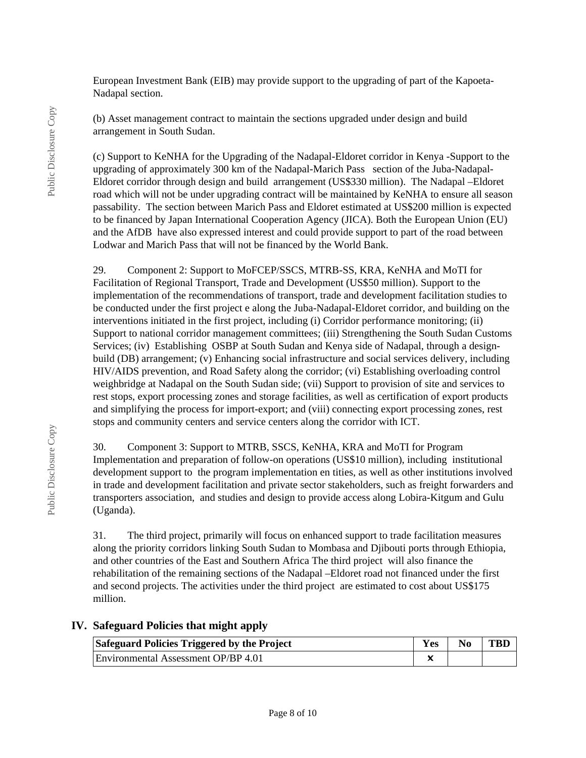European Investment Bank (EIB) may provide support to the upgrading of part of the Kapoeta-Nadapal section.

(b) Asset management contract to maintain the sections upgraded under design and build arrangement in South Sudan.

(c) Support to KeNHA for the Upgrading of the Nadapal-Eldoret corridor in Kenya -Support to the upgrading of approximately 300 km of the Nadapal-Marich Pass section of the Juba-Nadapal-Eldoret corridor through design and build arrangement (US\$330 million). The Nadapal –Eldoret road which will not be under upgrading contract will be maintained by KeNHA to ensure all season passability. The section between Marich Pass and Eldoret estimated at US\$200 million is expected to be financed by Japan International Cooperation Agency (JICA). Both the European Union (EU) and the AfDB have also expressed interest and could provide support to part of the road between Lodwar and Marich Pass that will not be financed by the World Bank.

29. Component 2: Support to MoFCEP/SSCS, MTRB-SS, KRA, KeNHA and MoTI for Facilitation of Regional Transport, Trade and Development (US\$50 million). Support to the implementation of the recommendations of transport, trade and development facilitation studies to be conducted under the first project e along the Juba-Nadapal-Eldoret corridor, and building on the interventions initiated in the first project, including (i) Corridor performance monitoring; (ii) Support to national corridor management committees; (iii) Strengthening the South Sudan Customs Services; (iv) Establishing OSBP at South Sudan and Kenya side of Nadapal, through a designbuild (DB) arrangement; (v) Enhancing social infrastructure and social services delivery, including HIV/AIDS prevention, and Road Safety along the corridor; (vi) Establishing overloading control weighbridge at Nadapal on the South Sudan side; (vii) Support to provision of site and services to rest stops, export processing zones and storage facilities, as well as certification of export products and simplifying the process for import-export; and (viii) connecting export processing zones, rest stops and community centers and service centers along the corridor with ICT.

30. Component 3: Support to MTRB, SSCS, KeNHA, KRA and MoTI for Program Implementation and preparation of follow-on operations (US\$10 million), including institutional development support to the program implementation en tities, as well as other institutions involved in trade and development facilitation and private sector stakeholders, such as freight forwarders and transporters association, and studies and design to provide access along Lobira-Kitgum and Gulu (Uganda).

31. The third project, primarily will focus on enhanced support to trade facilitation measures along the priority corridors linking South Sudan to Mombasa and Djibouti ports through Ethiopia, and other countries of the East and Southern Africa The third project will also finance the rehabilitation of the remaining sections of the Nadapal –Eldoret road not financed under the first and second projects. The activities under the third project are estimated to cost about US\$175 million.

### **IV. Safeguard Policies that might apply**

| <b>Safeguard Policies Triggered by the Project</b> | Yes | $\bf No$ | <b>TBD</b> |
|----------------------------------------------------|-----|----------|------------|
| Environmental Assessment OP/BP 4.01                |     |          |            |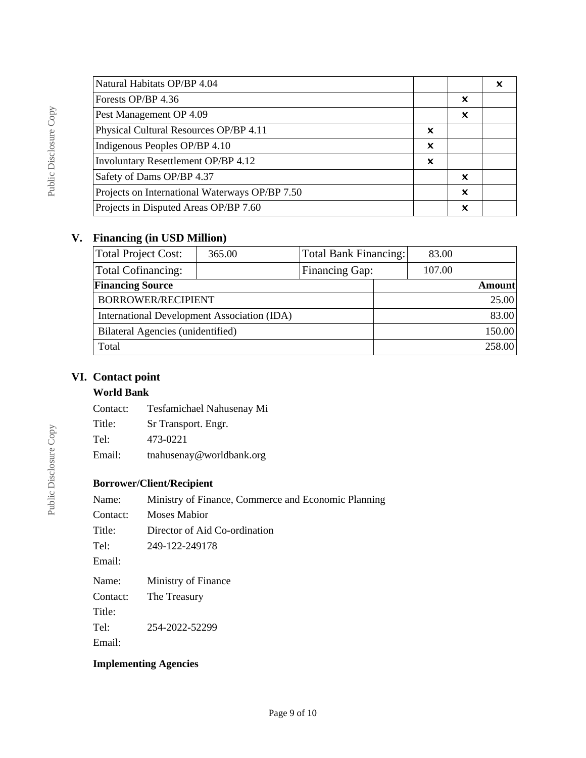| Natural Habitats OP/BP 4.04                    |   |   |  |
|------------------------------------------------|---|---|--|
| Forests OP/BP 4.36                             |   | X |  |
| Pest Management OP 4.09                        |   | X |  |
| Physical Cultural Resources OP/BP 4.11         | x |   |  |
| Indigenous Peoples OP/BP 4.10                  | X |   |  |
| <b>Involuntary Resettlement OP/BP 4.12</b>     | X |   |  |
| Safety of Dams OP/BP 4.37                      |   | × |  |
| Projects on International Waterways OP/BP 7.50 |   | x |  |
| Projects in Disputed Areas OP/BP 7.60          |   | x |  |
|                                                |   |   |  |

## **V. Financing (in USD Million)**

| <b>Total Project Cost:</b>                  | 365.00 | Total Bank Financing: |  | 83.00  |               |
|---------------------------------------------|--------|-----------------------|--|--------|---------------|
| <b>Total Cofinancing:</b>                   |        | Financing Gap:        |  | 107.00 |               |
| <b>Financing Source</b>                     |        |                       |  |        | <b>Amount</b> |
| <b>BORROWER/RECIPIENT</b>                   |        |                       |  |        | 25.00         |
| International Development Association (IDA) |        |                       |  |        | 83.00         |
| Bilateral Agencies (unidentified)           |        |                       |  |        | 150.00        |
| Total                                       |        |                       |  |        | 258.00        |

## **VI. Contact point**

### **World Bank**

Contact: Tesfamichael Nahusenay Mi

Title: Sr Transport. Engr.

Tel: 473-0221

Email: tnahusenay@worldbank.org

## **Borrower/Client/Recipient**

| Name:    | Ministry of Finance, Commerce and Economic Planning |
|----------|-----------------------------------------------------|
| Contact: | Moses Mabior                                        |
| Title:   | Director of Aid Co-ordination                       |
| Tel:     | 249-122-249178                                      |
| Email:   |                                                     |
| Name:    | Ministry of Finance                                 |
| Contact: | The Treasury                                        |
| Title:   |                                                     |
| Tel:     | 254-2022-52299                                      |
| Email:   |                                                     |

## **Implementing Agencies**